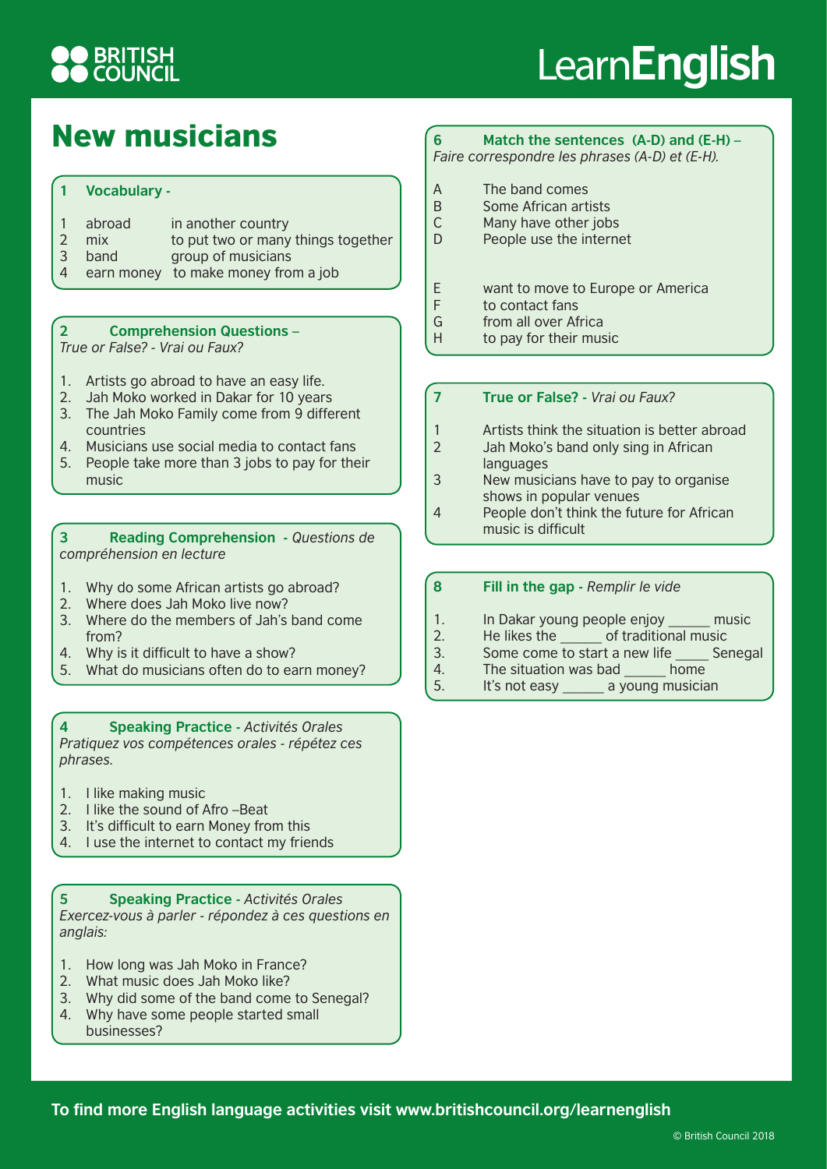

# Learn**English**

### New musicians

### **1 Vocabulary -**

- 1 abroad in another country 2 mix to put two or many things together
- 3 band group of musicians 4 earn money to make money from a job
- 

### **2 Comprehension Questions –**

*True or False? - Vrai ou Faux?*

- 1. Artists go abroad to have an easy life.
- 2. Jah Moko worked in Dakar for 10 years
- 3. The Jah Moko Family come from 9 different countries
- 4. Musicians use social media to contact fans
- 5. People take more than 3 jobs to pay for their music

#### **3 Reading Comprehension -** *Questions de compréhension en lecture*

- 1. Why do some African artists go abroad?
- 2. Where does Jah Moko live now?
- 3. Where do the members of Jah's band come from?
- 4. Why is it difficult to have a show?
- 5. What do musicians often do to earn money?

**4 Speaking Practice -** *Activités Orales Pratiquez vos compétences orales - répétez ces phrases.*

- 1. I like making music
- 2. I like the sound of Afro –Beat
- 3. It's difficult to earn Money from this
- 4. I use the internet to contact my friends

**5 Speaking Practice -** *Activités Orales Exercez-vous à parler - répondez à ces questions en anglais:*

- 1. How long was Jah Moko in France?
- 2. What music does Jah Moko like?
- 3. Why did some of the band come to Senegal?
- 4. Why have some people started small businesses?

**6 Match the sentences (A-D) and (E-H) –**

*Faire correspondre les phrases (A-D) et (E-H).*

- A The band comes<br>B Some African art
- Some African artists
- C Many have other jobs
- D People use the internet
- E want to move to Europe or America
- F to contact fans
- G from all over Africa
- H to pay for their music
- **7 True or False?** *Vrai ou Faux?*
- 1 Artists think the situation is better abroad
- 2 Jah Moko's band only sing in African languages
- 3 New musicians have to pay to organise shows in popular venues
- 4 People don't think the future for African music is difficult

### **8 Fill in the gap -** *Remplir le vide*

- 1. In Dakar young people enjoy music
- 2. He likes the of traditional music
- 3. Some come to start a new life Senegal
- 4. The situation was bad bome
- 5. It's not easy a young musician

**To fnd more English language activities visit www.britishcouncil.org/learnenglish**